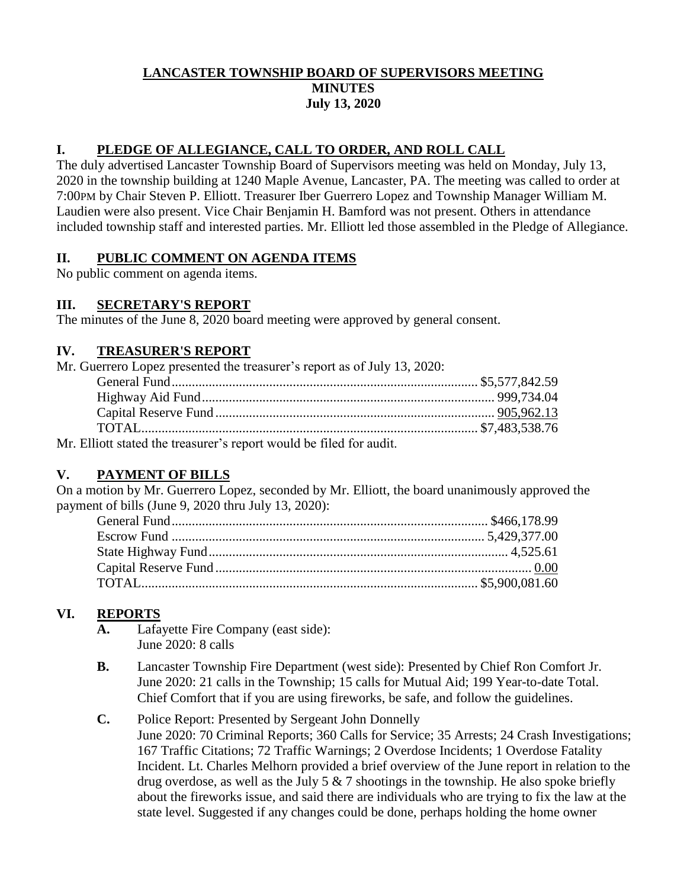### **LANCASTER TOWNSHIP BOARD OF SUPERVISORS MEETING MINUTES July 13, 2020**

## **I. PLEDGE OF ALLEGIANCE, CALL TO ORDER, AND ROLL CALL**

The duly advertised Lancaster Township Board of Supervisors meeting was held on Monday, July 13, 2020 in the township building at 1240 Maple Avenue, Lancaster, PA. The meeting was called to order at 7:00PM by Chair Steven P. Elliott. Treasurer Iber Guerrero Lopez and Township Manager William M. Laudien were also present. Vice Chair Benjamin H. Bamford was not present. Others in attendance included township staff and interested parties. Mr. Elliott led those assembled in the Pledge of Allegiance.

#### **II. PUBLIC COMMENT ON AGENDA ITEMS**

No public comment on agenda items.

#### **III. SECRETARY'S REPORT**

The minutes of the June 8, 2020 board meeting were approved by general consent.

#### **IV. TREASURER'S REPORT**

| Mr. Guerrero Lopez presented the treasurer's report as of July 13, 2020: |  |
|--------------------------------------------------------------------------|--|
|                                                                          |  |
|                                                                          |  |
|                                                                          |  |
|                                                                          |  |
| Mr. Elliott stated the treasurer's report would be filed for audit.      |  |

**V. PAYMENT OF BILLS**

On a motion by Mr. Guerrero Lopez, seconded by Mr. Elliott, the board unanimously approved the payment of bills (June 9, 2020 thru July 13, 2020):

## **VI. REPORTS**

- **A.** Lafayette Fire Company (east side): June 2020: 8 calls
- **B.** Lancaster Township Fire Department (west side): Presented by Chief Ron Comfort Jr. June 2020: 21 calls in the Township; 15 calls for Mutual Aid; 199 Year-to-date Total. Chief Comfort that if you are using fireworks, be safe, and follow the guidelines.
- **C.** Police Report: Presented by Sergeant John Donnelly June 2020: 70 Criminal Reports; 360 Calls for Service; 35 Arrests; 24 Crash Investigations; 167 Traffic Citations; 72 Traffic Warnings; 2 Overdose Incidents; 1 Overdose Fatality Incident. Lt. Charles Melhorn provided a brief overview of the June report in relation to the drug overdose, as well as the July 5  $\&$  7 shootings in the township. He also spoke briefly about the fireworks issue, and said there are individuals who are trying to fix the law at the state level. Suggested if any changes could be done, perhaps holding the home owner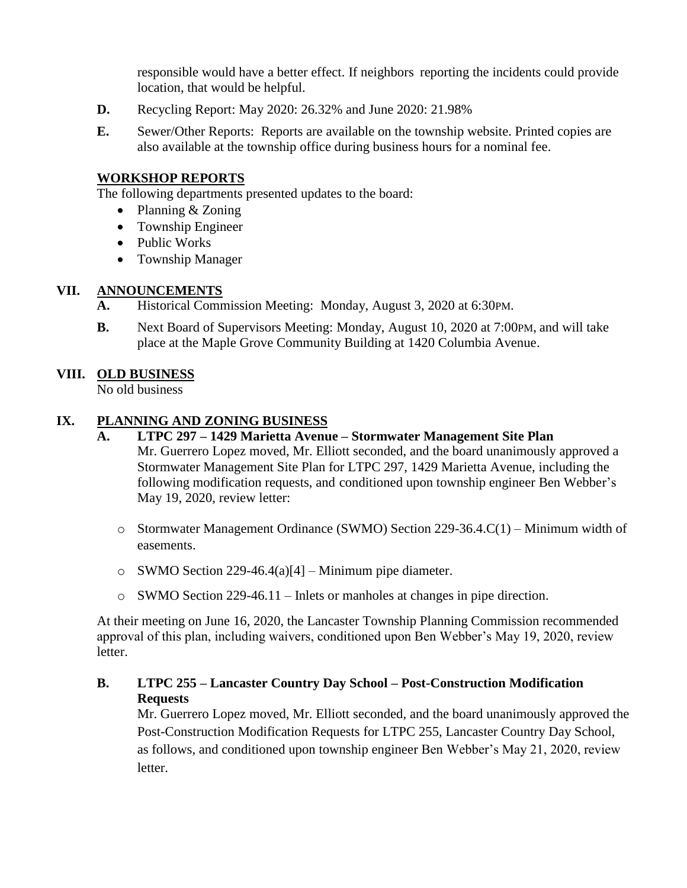responsible would have a better effect. If neighbors reporting the incidents could provide location, that would be helpful.

- **D.** Recycling Report: May 2020: 26.32% and June 2020: 21.98%
- **E.** Sewer/Other Reports: Reports are available on the township website. Printed copies are also available at the township office during business hours for a nominal fee.

#### **WORKSHOP REPORTS**

The following departments presented updates to the board:

- Planning & Zoning
- Township Engineer
- Public Works
- Township Manager

#### **VII. ANNOUNCEMENTS**

- **A.** Historical Commission Meeting: Monday, August 3, 2020 at 6:30PM.
- **B.** Next Board of Supervisors Meeting: Monday, August 10, 2020 at 7:00 PM, and will take place at the Maple Grove Community Building at 1420 Columbia Avenue.

#### **VIII. OLD BUSINESS**

No old business

#### **IX. PLANNING AND ZONING BUSINESS**

- **A. LTPC 297 – 1429 Marietta Avenue – Stormwater Management Site Plan** Mr. Guerrero Lopez moved, Mr. Elliott seconded, and the board unanimously approved a Stormwater Management Site Plan for LTPC 297, 1429 Marietta Avenue, including the following modification requests, and conditioned upon township engineer Ben Webber's May 19, 2020, review letter:
	- o Stormwater Management Ordinance (SWMO) Section 229-36.4.C(1) Minimum width of easements.
	- o SWMO Section 229-46.4(a)[4] Minimum pipe diameter.
	- o SWMO Section 229-46.11 Inlets or manholes at changes in pipe direction.

At their meeting on June 16, 2020, the Lancaster Township Planning Commission recommended approval of this plan, including waivers, conditioned upon Ben Webber's May 19, 2020, review letter.

#### **B. LTPC 255 – Lancaster Country Day School – Post-Construction Modification Requests**

Mr. Guerrero Lopez moved, Mr. Elliott seconded, and the board unanimously approved the Post-Construction Modification Requests for LTPC 255, Lancaster Country Day School, as follows, and conditioned upon township engineer Ben Webber's May 21, 2020, review letter.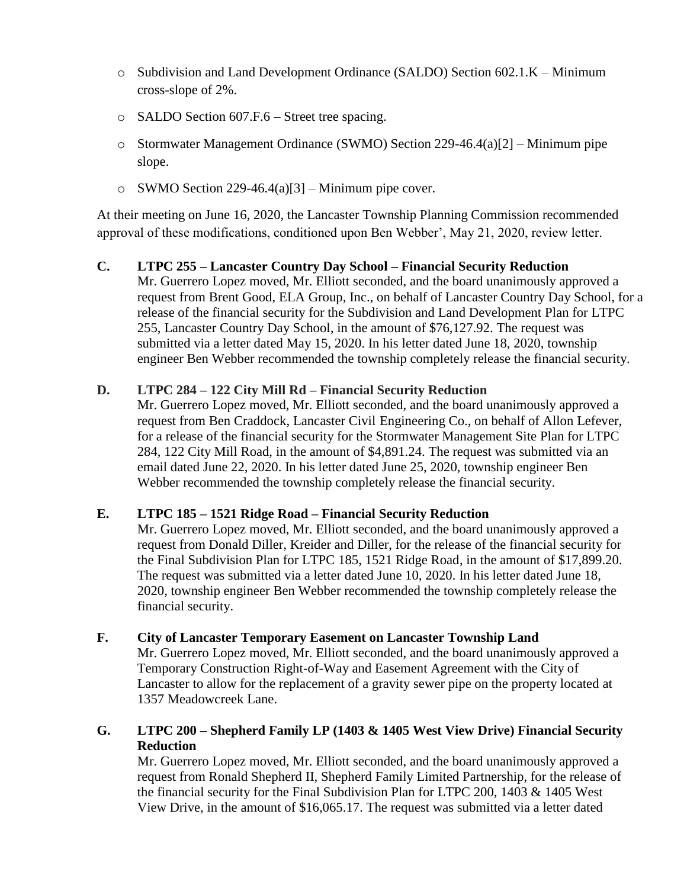- o Subdivision and Land Development Ordinance (SALDO) Section 602.1.K Minimum cross-slope of 2%.
- o SALDO Section 607.F.6 Street tree spacing.
- o Stormwater Management Ordinance (SWMO) Section 229-46.4(a)[2] Minimum pipe slope.
- $\circ$  SWMO Section 229-46.4(a)[3] Minimum pipe cover.

At their meeting on June 16, 2020, the Lancaster Township Planning Commission recommended approval of these modifications, conditioned upon Ben Webber', May 21, 2020, review letter.

**C. LTPC 255 – Lancaster Country Day School – Financial Security Reduction** Mr. Guerrero Lopez moved, Mr. Elliott seconded, and the board unanimously approved a request from Brent Good, ELA Group, Inc., on behalf of Lancaster Country Day School, for a release of the financial security for the Subdivision and Land Development Plan for LTPC 255, Lancaster Country Day School, in the amount of \$76,127.92. The request was submitted via a letter dated May 15, 2020. In his letter dated June 18, 2020, township engineer Ben Webber recommended the township completely release the financial security.

## **D. LTPC 284 – 122 City Mill Rd – Financial Security Reduction**

Mr. Guerrero Lopez moved, Mr. Elliott seconded, and the board unanimously approved a request from Ben Craddock, Lancaster Civil Engineering Co., on behalf of Allon Lefever, for a release of the financial security for the Stormwater Management Site Plan for LTPC 284, 122 City Mill Road, in the amount of \$4,891.24. The request was submitted via an email dated June 22, 2020. In his letter dated June 25, 2020, township engineer Ben Webber recommended the township completely release the financial security.

#### **E. LTPC 185 – 1521 Ridge Road – Financial Security Reduction**

Mr. Guerrero Lopez moved, Mr. Elliott seconded, and the board unanimously approved a request from Donald Diller, Kreider and Diller, for the release of the financial security for the Final Subdivision Plan for LTPC 185, 1521 Ridge Road, in the amount of \$17,899.20. The request was submitted via a letter dated June 10, 2020. In his letter dated June 18, 2020, township engineer Ben Webber recommended the township completely release the financial security.

#### **F. City of Lancaster Temporary Easement on Lancaster Township Land**

Mr. Guerrero Lopez moved, Mr. Elliott seconded, and the board unanimously approved a Temporary Construction Right-of-Way and Easement Agreement with the City of Lancaster to allow for the replacement of a gravity sewer pipe on the property located at 1357 Meadowcreek Lane.

## **G. LTPC 200 – Shepherd Family LP (1403 & 1405 West View Drive) Financial Security Reduction**

Mr. Guerrero Lopez moved, Mr. Elliott seconded, and the board unanimously approved a request from Ronald Shepherd II, Shepherd Family Limited Partnership, for the release of the financial security for the Final Subdivision Plan for LTPC 200, 1403 & 1405 West View Drive, in the amount of \$16,065.17. The request was submitted via a letter dated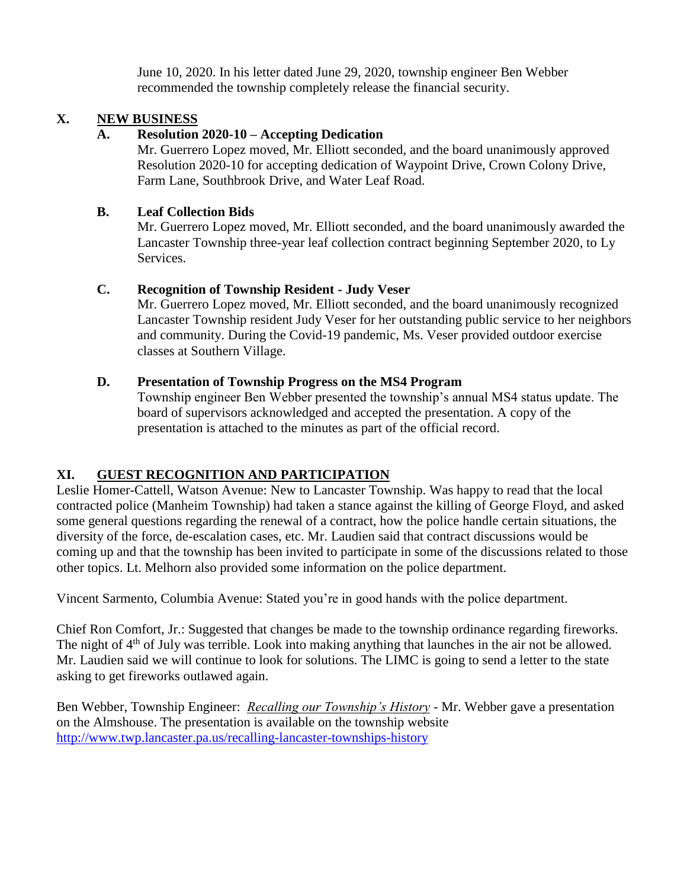June 10, 2020. In his letter dated June 29, 2020, township engineer Ben Webber recommended the township completely release the financial security.

### **X. NEW BUSINESS**

## **A. Resolution 2020-10 – Accepting Dedication**

Mr. Guerrero Lopez moved, Mr. Elliott seconded, and the board unanimously approved Resolution 2020-10 for accepting dedication of Waypoint Drive, Crown Colony Drive, Farm Lane, Southbrook Drive, and Water Leaf Road.

#### **B. Leaf Collection Bids**

Mr. Guerrero Lopez moved, Mr. Elliott seconded, and the board unanimously awarded the Lancaster Township three-year leaf collection contract beginning September 2020, to Ly Services.

## **C. Recognition of Township Resident - Judy Veser**

Mr. Guerrero Lopez moved, Mr. Elliott seconded, and the board unanimously recognized Lancaster Township resident Judy Veser for her outstanding public service to her neighbors and community. During the Covid-19 pandemic, Ms. Veser provided outdoor exercise classes at Southern Village.

## **D. Presentation of Township Progress on the MS4 Program**

Township engineer Ben Webber presented the township's annual MS4 status update. The board of supervisors acknowledged and accepted the presentation. A copy of the presentation is attached to the minutes as part of the official record.

## **XI. GUEST RECOGNITION AND PARTICIPATION**

Leslie Homer-Cattell, Watson Avenue: New to Lancaster Township. Was happy to read that the local contracted police (Manheim Township) had taken a stance against the killing of George Floyd, and asked some general questions regarding the renewal of a contract, how the police handle certain situations, the diversity of the force, de-escalation cases, etc. Mr. Laudien said that contract discussions would be coming up and that the township has been invited to participate in some of the discussions related to those other topics. Lt. Melhorn also provided some information on the police department.

Vincent Sarmento, Columbia Avenue: Stated you're in good hands with the police department.

Chief Ron Comfort, Jr.: Suggested that changes be made to the township ordinance regarding fireworks. The night of 4<sup>th</sup> of July was terrible. Look into making anything that launches in the air not be allowed. Mr. Laudien said we will continue to look for solutions. The LIMC is going to send a letter to the state asking to get fireworks outlawed again.

Ben Webber, Township Engineer: *Recalling our Township's History* - Mr. Webber gave a presentation on the Almshouse. The presentation is available on the township website <http://www.twp.lancaster.pa.us/recalling-lancaster-townships-history>